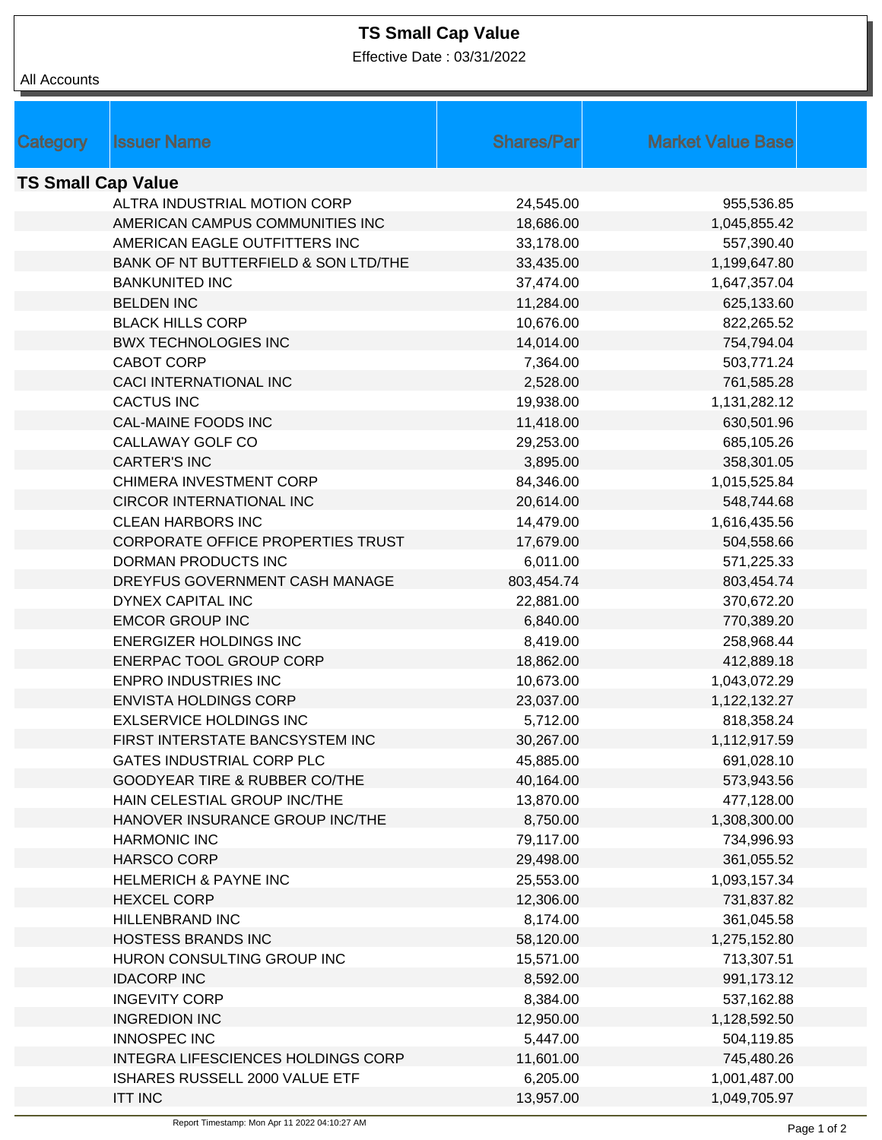## **TS Small Cap Value**

Effective Date : 03/31/2022

| <b>All Accounts</b>       |                                          |                    |                          |  |  |  |
|---------------------------|------------------------------------------|--------------------|--------------------------|--|--|--|
|                           |                                          |                    |                          |  |  |  |
|                           |                                          |                    |                          |  |  |  |
| Category                  | <b>Issuer Name</b>                       | <b>Shares/Parl</b> | <b>Market Value Base</b> |  |  |  |
| <b>TS Small Cap Value</b> |                                          |                    |                          |  |  |  |
|                           | ALTRA INDUSTRIAL MOTION CORP             | 24,545.00          | 955,536.85               |  |  |  |
|                           | AMERICAN CAMPUS COMMUNITIES INC          | 18,686.00          | 1,045,855.42             |  |  |  |
|                           | AMERICAN EAGLE OUTFITTERS INC            | 33,178.00          | 557,390.40               |  |  |  |
|                           | BANK OF NT BUTTERFIELD & SON LTD/THE     | 33,435.00          | 1,199,647.80             |  |  |  |
|                           | <b>BANKUNITED INC</b>                    | 37,474.00          | 1,647,357.04             |  |  |  |
|                           | <b>BELDEN INC</b>                        | 11,284.00          | 625,133.60               |  |  |  |
|                           | <b>BLACK HILLS CORP</b>                  | 10,676.00          | 822,265.52               |  |  |  |
|                           | <b>BWX TECHNOLOGIES INC</b>              | 14,014.00          | 754,794.04               |  |  |  |
|                           | <b>CABOT CORP</b>                        | 7,364.00           | 503,771.24               |  |  |  |
|                           | <b>CACI INTERNATIONAL INC</b>            | 2,528.00           | 761,585.28               |  |  |  |
|                           | <b>CACTUS INC</b>                        | 19,938.00          | 1,131,282.12             |  |  |  |
|                           | <b>CAL-MAINE FOODS INC</b>               | 11,418.00          | 630,501.96               |  |  |  |
|                           | CALLAWAY GOLF CO                         | 29,253.00          | 685,105.26               |  |  |  |
|                           | <b>CARTER'S INC</b>                      | 3,895.00           | 358,301.05               |  |  |  |
|                           | CHIMERA INVESTMENT CORP                  | 84,346.00          | 1,015,525.84             |  |  |  |
|                           | CIRCOR INTERNATIONAL INC                 | 20,614.00          | 548,744.68               |  |  |  |
|                           | <b>CLEAN HARBORS INC</b>                 | 14,479.00          | 1,616,435.56             |  |  |  |
|                           | <b>CORPORATE OFFICE PROPERTIES TRUST</b> | 17,679.00          | 504,558.66               |  |  |  |
|                           | DORMAN PRODUCTS INC                      | 6,011.00           | 571,225.33               |  |  |  |
|                           | DREYFUS GOVERNMENT CASH MANAGE           | 803,454.74         | 803,454.74               |  |  |  |
|                           | DYNEX CAPITAL INC                        | 22,881.00          | 370,672.20               |  |  |  |
|                           | <b>EMCOR GROUP INC</b>                   | 6,840.00           | 770,389.20               |  |  |  |
|                           | <b>ENERGIZER HOLDINGS INC</b>            | 8,419.00           | 258,968.44               |  |  |  |
|                           | ENERPAC TOOL GROUP CORP                  | 18,862.00          | 412,889.18               |  |  |  |
|                           | <b>ENPRO INDUSTRIES INC</b>              | 10,673.00          | 1,043,072.29             |  |  |  |
|                           | <b>ENVISTA HOLDINGS CORP</b>             | 23,037.00          | 1,122,132.27             |  |  |  |
|                           | <b>EXLSERVICE HOLDINGS INC</b>           | 5,712.00           | 818,358.24               |  |  |  |
|                           | FIRST INTERSTATE BANCSYSTEM INC          | 30,267.00          | 1,112,917.59             |  |  |  |
|                           | <b>GATES INDUSTRIAL CORP PLC</b>         | 45,885.00          | 691,028.10               |  |  |  |
|                           | <b>GOODYEAR TIRE &amp; RUBBER CO/THE</b> | 40,164.00          | 573,943.56               |  |  |  |
|                           | HAIN CELESTIAL GROUP INC/THE             | 13,870.00          | 477,128.00               |  |  |  |
|                           | HANOVER INSURANCE GROUP INC/THE          | 8,750.00           | 1,308,300.00             |  |  |  |
|                           | <b>HARMONIC INC</b>                      | 79,117.00          | 734,996.93               |  |  |  |
|                           | HARSCO CORP                              | 29,498.00          | 361,055.52               |  |  |  |
|                           | <b>HELMERICH &amp; PAYNE INC</b>         | 25,553.00          | 1,093,157.34             |  |  |  |
|                           | <b>HEXCEL CORP</b>                       | 12,306.00          | 731,837.82               |  |  |  |
|                           | HILLENBRAND INC                          | 8,174.00           | 361,045.58               |  |  |  |
|                           | <b>HOSTESS BRANDS INC</b>                | 58,120.00          | 1,275,152.80             |  |  |  |
|                           | HURON CONSULTING GROUP INC               | 15,571.00          | 713,307.51               |  |  |  |
|                           | <b>IDACORP INC</b>                       | 8,592.00           | 991,173.12               |  |  |  |
|                           | <b>INGEVITY CORP</b>                     | 8,384.00           | 537,162.88               |  |  |  |
|                           | <b>INGREDION INC</b>                     | 12,950.00          | 1,128,592.50             |  |  |  |
|                           | <b>INNOSPEC INC</b>                      | 5,447.00           | 504,119.85               |  |  |  |
|                           | INTEGRA LIFESCIENCES HOLDINGS CORP       | 11,601.00          | 745,480.26               |  |  |  |
|                           | ISHARES RUSSELL 2000 VALUE ETF           | 6,205.00           | 1,001,487.00             |  |  |  |
|                           | <b>ITT INC</b>                           | 13,957.00          | 1,049,705.97             |  |  |  |